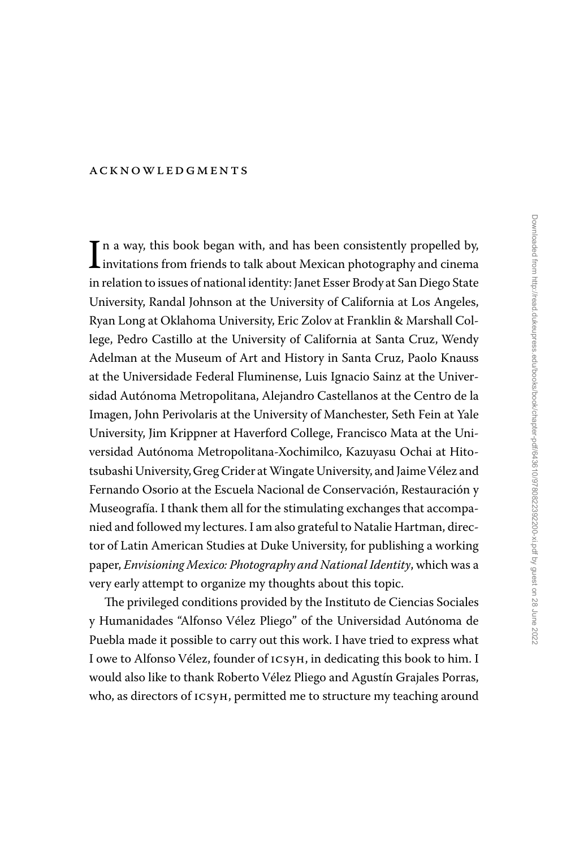## **ACKNOWLEDGMENTS**

 $\prod_{i=1}^n$ n a way, this book began with, and has been consistently propelled by, invitations from friends to talk about Mexican photography and cinema in relation to issues of national identity: Janet Esser Brody at San Diego State University, Randal Johnson at the University of California at Los Angeles, Ryan Long at Oklahoma University, Eric Zolov at Franklin & Marshall College, Pedro Castillo at the University of California at Santa Cruz, Wendy Adelman at the Museum of Art and History in Santa Cruz, Paolo Knauss at the Universidade Federal Fluminense, Luis Ignacio Sainz at the Universidad Autónoma Metropolitana, Alejandro Castellanos at the Centro de la Imagen, John Perivolaris at the University of Manchester, Seth Fein at Yale University, Jim Krippner at Haverford College, Francisco Mata at the Universidad Autónoma Metropolitana-Xochimilco, Kazuyasu Ochai at Hitotsubashi University, Greg Crider at Wingate University, and Jaime Vélez and Fernando Osorio at the Escuela Nacional de Conservación, Restauración y Museografía. I thank them all for the stimulating exchanges that accompanied and followed my lectures. I am also grateful to Natalie Hartman, director of Latin American Studies at Duke University, for publishing a working paper, *Envisioning Mexico: Photography and National Identity*, which was a very early attempt to organize my thoughts about this topic.

The privileged conditions provided by the Instituto de Ciencias Sociales y Humanidades "Alfonso Vélez Pliego" of the Universidad Autónoma de Puebla made it possible to carry out this work. I have tried to express what I owe to Alfonso Vélez, founder of ICSyH, in dedicating this book to him. I would also like to thank Roberto Vélez Pliego and Agustín Grajales Porras, who, as directors of ICSyH, permitted me to structure my teaching around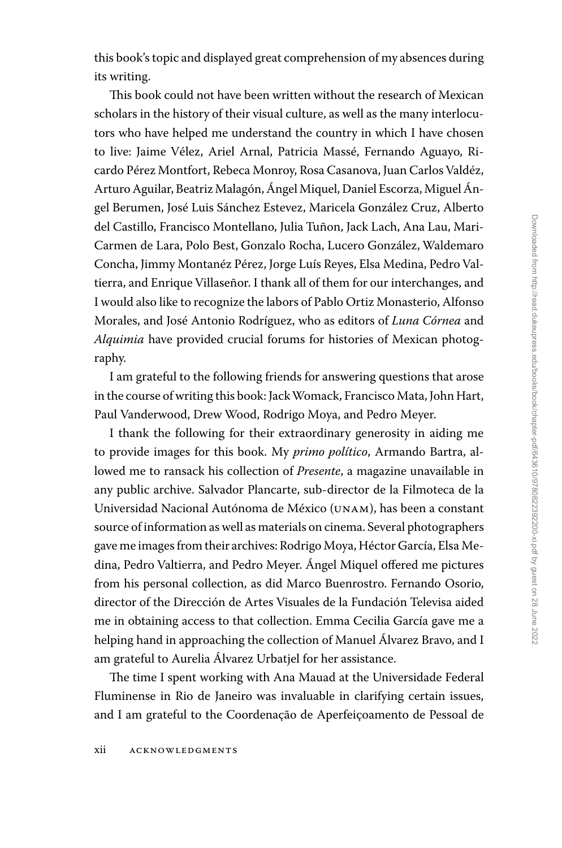this book's topic and displayed great comprehension of my absences during its writing.

This book could not have been written without the research of Mexican scholars in the history of their visual culture, as well as the many interlocutors who have helped me understand the country in which I have chosen to live: Jaime Vélez, Ariel Arnal, Patricia Massé, Fernando Aguayo, Ricardo Pérez Montfort, Rebeca Monroy, Rosa Casanova, Juan Carlos Valdéz, Arturo Aguilar, Beatriz Malagón, Ángel Miquel, Daniel Escorza, Miguel Ángel Berumen, José Luis Sánchez Estevez, Maricela González Cruz, Alberto del Castillo, Francisco Montellano, Julia Tuñon, Jack Lach, Ana Lau, Mari-Carmen de Lara, Polo Best, Gonzalo Rocha, Lucero González, Waldemaro Concha, Jimmy Montanéz Pérez, Jorge Luís Reyes, Elsa Medina, Pedro Valtierra, and Enrique Villaseñor. I thank all of them for our interchanges, and I would also like to recognize the labors of Pablo Ortiz Monasterio, Alfonso Morales, and José Antonio Rodríguez, who as editors of *Luna Córnea* and *Alquimia* have provided crucial forums for histories of Mexican photography.

I am grateful to the following friends for answering questions that arose in the course of writing this book: Jack Womack, Francisco Mata, John Hart, Paul Vanderwood, Drew Wood, Rodrigo Moya, and Pedro Meyer.

I thank the following for their extraordinary generosity in aiding me to provide images for this book. My *primo político*, Armando Bartra, allowed me to ransack his collection of *Presente*, a magazine unavailable in any public archive. Salvador Plancarte, sub-director de la Filmoteca de la Universidad Nacional Autónoma de México (UNAM), has been a constant source of information as well as materials on cinema. Several photographers gave me images from their archives: Rodrigo Moya, Héctor García, Elsa Medina, Pedro Valtierra, and Pedro Meyer. Ángel Miquel offered me pictures from his personal collection, as did Marco Buenrostro. Fernando Osorio, director of the Dirección de Artes Visuales de la Fundación Televisa aided me in obtaining access to that collection. Emma Cecilia García gave me a helping hand in approaching the collection of Manuel Álvarez Bravo, and I am grateful to Aurelia Álvarez Urbatjel for her assistance.

The time I spent working with Ana Mauad at the Universidade Federal Fluminense in Rio de Janeiro was invaluable in clarifying certain issues, and I am grateful to the Coordenação de Aperfeiçoamento de Pessoal de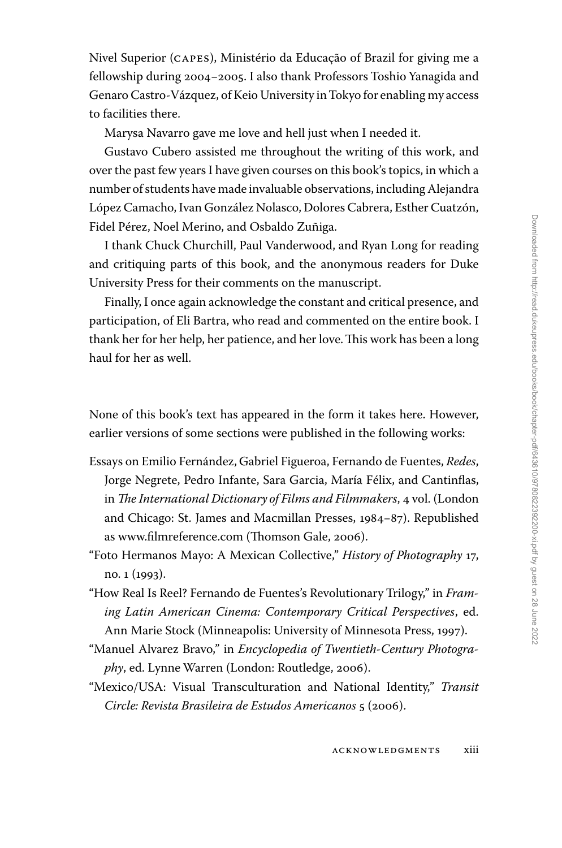Nivel Superior (CAPES), Ministério da Educação of Brazil for giving me a fellowship during 2004–2005. I also thank Professors Toshio Yanagida and Genaro Castro-Vázquez, of Keio University in Tokyo for enabling my access to facilities there.

Marysa Navarro gave me love and hell just when I needed it.

Gustavo Cubero assisted me throughout the writing of this work, and over the past few years I have given courses on this book's topics, in which a number of students have made invaluable observations, including Alejandra López Camacho, Ivan González Nolasco, Dolores Cabrera, Esther Cuatzón, Fidel Pérez, Noel Merino, and Osbaldo Zuñiga.

I thank Chuck Churchill, Paul Vanderwood, and Ryan Long for reading and critiquing parts of this book, and the anonymous readers for Duke University Press for their comments on the manuscript.

Finally, I once again acknowledge the constant and critical presence, and participation, of Eli Bartra, who read and commented on the entire book. I thank her for her help, her patience, and her love. This work has been a long haul for her as well.

None of this book's text has appeared in the form it takes here. However, earlier versions of some sections were published in the following works:

- Essays on Emilio Fernández, Gabriel Figueroa, Fernando de Fuentes, *Redes*, Jorge Negrete, Pedro Infante, Sara Garcia, María Félix, and Cantinflas, in *The International Dictionary of Films and Filmmakers*, 4 vol. (London and Chicago: St. James and Macmillan Presses, 1984–87). Republished as www.filmreference.com (Thomson Gale, 2006).
- "Foto Hermanos Mayo: A Mexican Collective," *History of Photography* 17, no. 1 (1993).
- "How Real Is Reel? Fernando de Fuentes's Revolutionary Trilogy," in *Framing Latin American Cinema: Contemporary Critical Perspectives*, ed. Ann Marie Stock (Minneapolis: University of Minnesota Press, 1997).
- "Manuel Alvarez Bravo," in *Encyclopedia of Twentieth-Century Photography*, ed. Lynne Warren (London: Routledge, 2006).
- "Mexico/USA: Visual Transculturation and National Identity," *Transit Circle: Revista Brasileira de Estudos Americanos* 5 (2006).